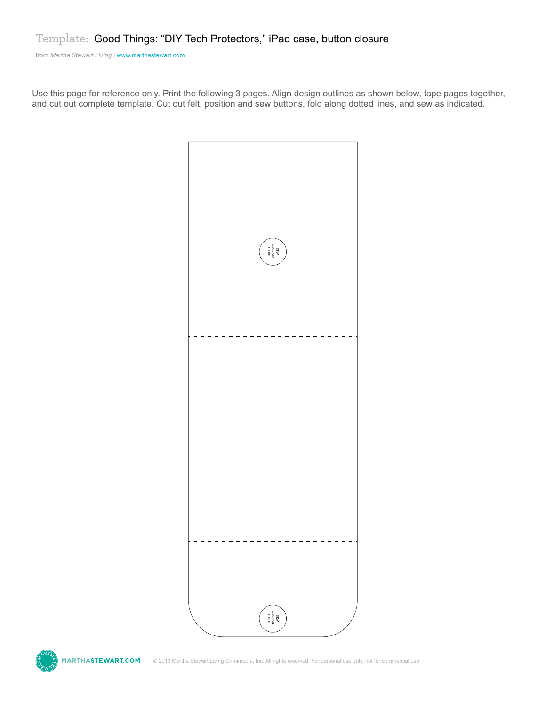Use this page for reference only. Print the following 3 pages. Align design outlines as shown below, tape pages together, and cut out complete template. Cut out felt, position and sew buttons, fold along dotted lines, and sew as indicated.



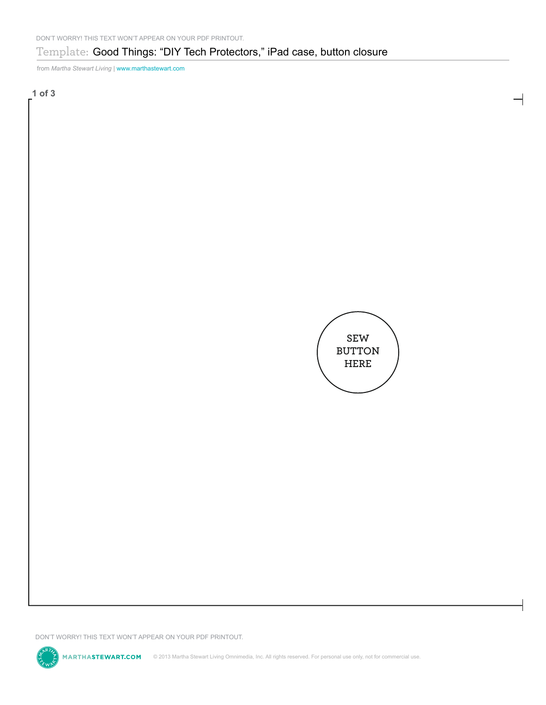**1 of 3**



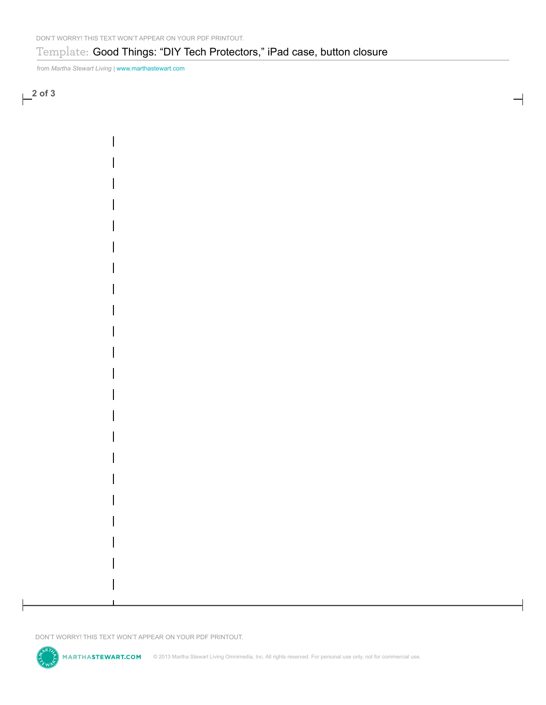**2 of 3**